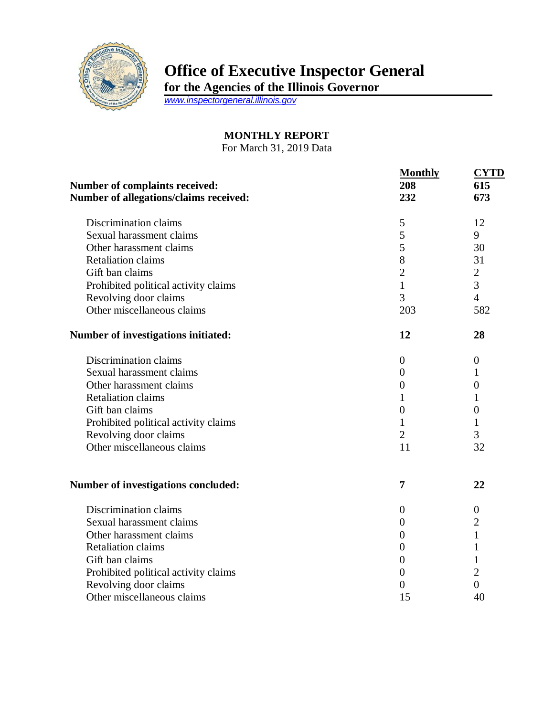

## **Office of Executive Inspector General**

**for the Agencies of the Illinois Governor**

*[www.inspectorgeneral.illinois.gov](http://www.inspectorgeneral.illinois.gov/)*

## **MONTHLY REPORT**

For March 31, 2019 Data

| <b>Number of complaints received:</b><br>Number of allegations/claims received: | <b>Monthly</b><br>208<br>232 | <b>CYTD</b><br>615<br>673 |
|---------------------------------------------------------------------------------|------------------------------|---------------------------|
| Discrimination claims                                                           | $\mathfrak s$                | 12                        |
| Sexual harassment claims                                                        | 5                            | 9                         |
| Other harassment claims                                                         | 5                            | 30                        |
| <b>Retaliation claims</b>                                                       | 8                            | 31                        |
| Gift ban claims                                                                 | $\overline{2}$               | $\overline{2}$            |
| Prohibited political activity claims                                            | $\mathbf{1}$                 | 3                         |
| Revolving door claims                                                           | 3                            | $\overline{4}$            |
| Other miscellaneous claims                                                      | 203                          | 582                       |
| Number of investigations initiated:                                             | 12                           | 28                        |
| Discrimination claims                                                           | $\overline{0}$               | $\boldsymbol{0}$          |
| Sexual harassment claims                                                        | $\overline{0}$               | 1                         |
| Other harassment claims                                                         | $\overline{0}$               | $\theta$                  |
| <b>Retaliation claims</b>                                                       | 1                            | 1                         |
| Gift ban claims                                                                 | $\boldsymbol{0}$             | $\overline{0}$            |
| Prohibited political activity claims                                            | $\mathbf{1}$                 | 1                         |
| Revolving door claims                                                           | $\overline{2}$               | 3                         |
| Other miscellaneous claims                                                      | 11                           | 32                        |
| <b>Number of investigations concluded:</b>                                      | 7                            | 22                        |
| Discrimination claims                                                           | $\boldsymbol{0}$             | $\boldsymbol{0}$          |
| Sexual harassment claims                                                        | $\boldsymbol{0}$             | $\overline{c}$            |
| Other harassment claims                                                         | $\overline{0}$               | $\mathbf{1}$              |
| <b>Retaliation claims</b>                                                       | $\boldsymbol{0}$             | 1                         |
| Gift ban claims                                                                 | $\boldsymbol{0}$             | $\mathbf{1}$              |
| Prohibited political activity claims                                            | $\theta$                     | $\overline{2}$            |
| Revolving door claims                                                           | 0                            | $\overline{0}$            |
| Other miscellaneous claims                                                      | 15                           | 40                        |
|                                                                                 |                              |                           |